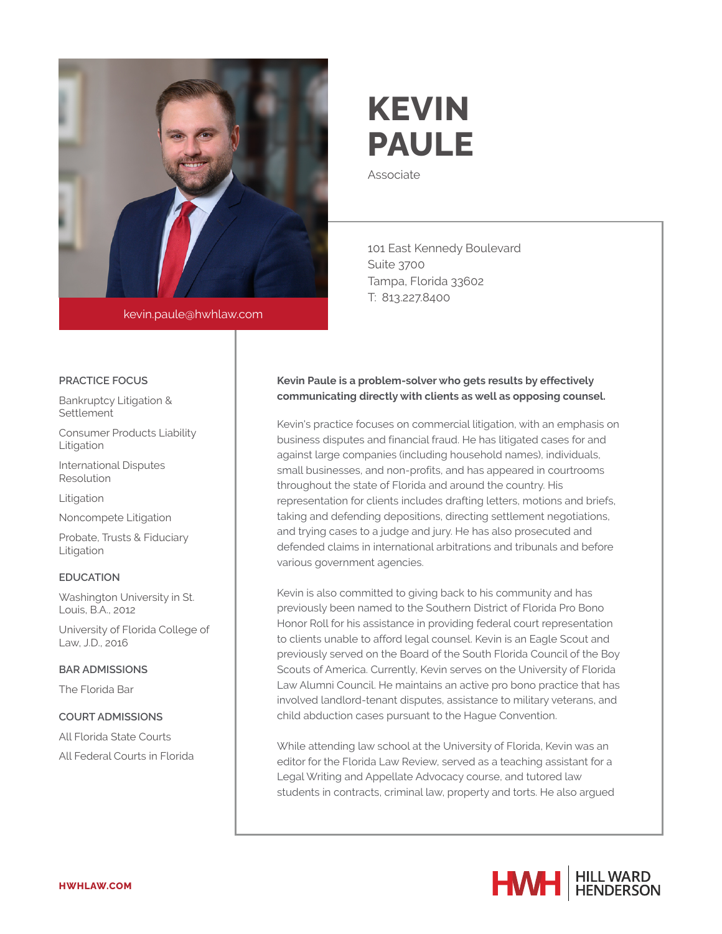

kevin.paule@hwhlaw.com

# **KEVIN PAULE**

Associate

101 East Kennedy Boulevard Suite 3700 Tampa, Florida 33602 T: 813.227.8400

#### **PRACTICE FOCUS**

Bankruptcy Litigation & **Settlement** 

Consumer Products Liability Litigation

International Disputes Resolution

Litigation

Noncompete Litigation

Probate, Trusts & Fiduciary Litigation

### **EDUCATION**

Washington University in St. Louis, B.A., 2012

University of Florida College of Law, J.D., 2016

## **BAR ADMISSIONS**

The Florida Bar

#### **COURT ADMISSIONS**

All Florida State Courts All Federal Courts in Florida

## **Kevin Paule is a problem-solver who gets results by effectively communicating directly with clients as well as opposing counsel.**

Kevin's practice focuses on commercial litigation, with an emphasis on business disputes and financial fraud. He has litigated cases for and against large companies (including household names), individuals, small businesses, and non-profits, and has appeared in courtrooms throughout the state of Florida and around the country. His representation for clients includes drafting letters, motions and briefs, taking and defending depositions, directing settlement negotiations, and trying cases to a judge and jury. He has also prosecuted and defended claims in international arbitrations and tribunals and before various government agencies.

Kevin is also committed to giving back to his community and has previously been named to the Southern District of Florida Pro Bono Honor Roll for his assistance in providing federal court representation to clients unable to afford legal counsel. Kevin is an Eagle Scout and previously served on the Board of the South Florida Council of the Boy Scouts of America. Currently, Kevin serves on the University of Florida Law Alumni Council. He maintains an active pro bono practice that has involved landlord-tenant disputes, assistance to military veterans, and child abduction cases pursuant to the Hague Convention.

While attending law school at the University of Florida, Kevin was an editor for the Florida Law Review, served as a teaching assistant for a Legal Writing and Appellate Advocacy course, and tutored law students in contracts, criminal law, property and torts. He also argued

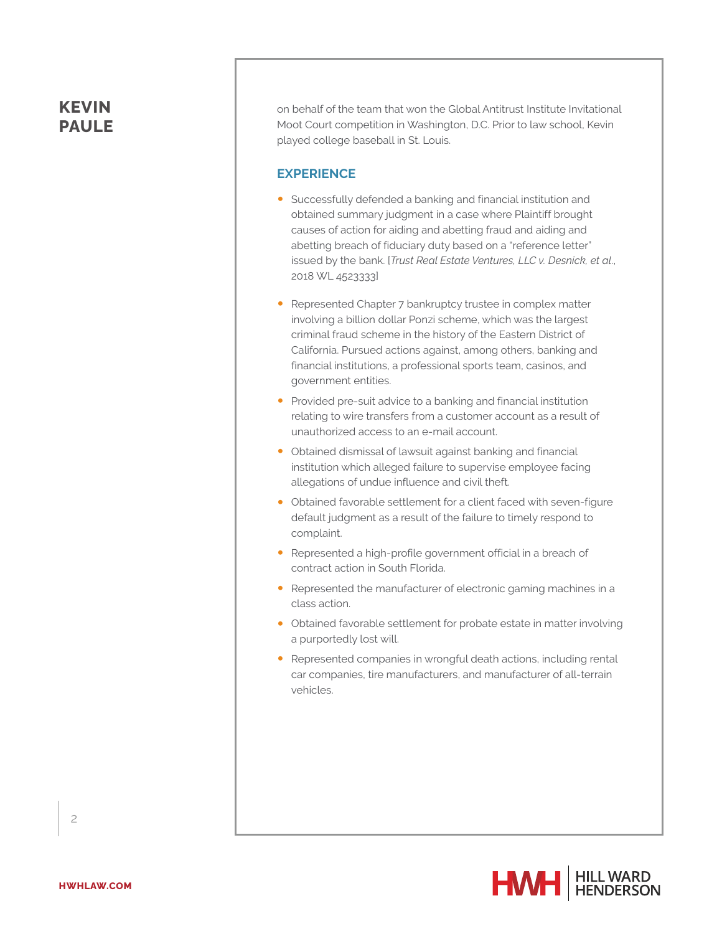# **KEVIN PAULE**

on behalf of the team that won the Global Antitrust Institute Invitational Moot Court competition in Washington, D.C. Prior to law school, Kevin played college baseball in St. Louis.

## **EXPERIENCE**

- Successfully defended a banking and financial institution and obtained summary judgment in a case where Plaintiff brought causes of action for aiding and abetting fraud and aiding and abetting breach of fiduciary duty based on a "reference letter" issued by the bank. [*Trust Real Estate Ventures, LLC v. Desnick, et al*., 2018 WL 4523333]
- Represented Chapter 7 bankruptcy trustee in complex matter involving a billion dollar Ponzi scheme, which was the largest criminal fraud scheme in the history of the Eastern District of California. Pursued actions against, among others, banking and financial institutions, a professional sports team, casinos, and government entities.
- Provided pre-suit advice to a banking and financial institution relating to wire transfers from a customer account as a result of unauthorized access to an e-mail account.
- Obtained dismissal of lawsuit against banking and financial institution which alleged failure to supervise employee facing allegations of undue influence and civil theft.
- Obtained favorable settlement for a client faced with seven-figure default judgment as a result of the failure to timely respond to complaint.
- Represented a high-profile government official in a breach of contract action in South Florida.
- Represented the manufacturer of electronic gaming machines in a class action.
- Obtained favorable settlement for probate estate in matter involving a purportedly lost will.
- Represented companies in wrongful death actions, including rental car companies, tire manufacturers, and manufacturer of all-terrain vehicles.